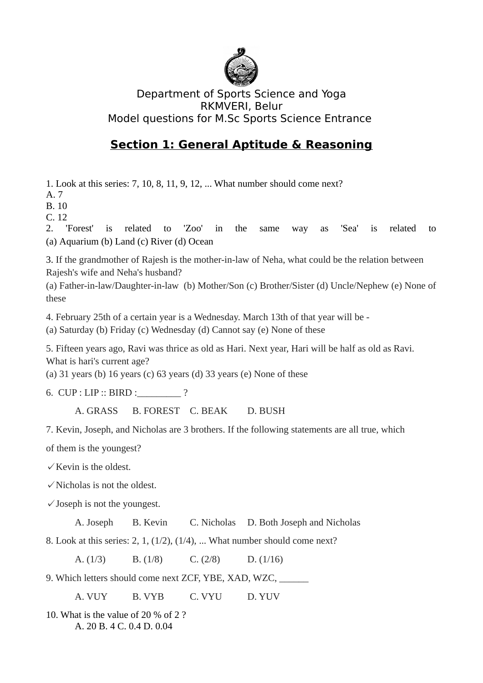

## Department of Sports Science and Yoga RKMVERI, Belur Model questions for M.Sc Sports Science Entrance

## **Section 1: General Aptitude & Reasoning**

1. Look at this series: 7, 10, 8, 11, 9, 12, ... What number should come next?

A. 7

B. 10

C. 12

2. 'Forest' is related to 'Zoo' in the same way as 'Sea' is related to (a) Aquarium (b) Land (c) River (d) Ocean

3. If the grandmother of Rajesh is the mother-in-law of Neha, what could be the relation between Rajesh's wife and Neha's husband?

(a) Father-in-law/Daughter-in-law (b) Mother/Son (c) Brother/Sister (d) Uncle/Nephew (e) None of these

4. February 25th of a certain year is a Wednesday. March 13th of that year will be -

(a) Saturday (b) Friday (c) Wednesday (d) Cannot say (e) None of these

5. Fifteen years ago, Ravi was thrice as old as Hari. Next year, Hari will be half as old as Ravi. What is hari's current age?

(a)  $31$  years (b)  $16$  years (c)  $63$  years (d)  $33$  years (e) None of these

6. CUP : LIP :: BIRD :\_\_\_\_\_\_\_\_\_ ?

A. GRASS B. FOREST C. BEAK D. BUSH

7. Kevin, Joseph, and Nicholas are 3 brothers. If the following statements are all true, which

of them is the youngest?

 $\checkmark$  Kevin is the oldest.

 $\checkmark$  Nicholas is not the oldest.

 $\checkmark$  Joseph is not the youngest.

A. Joseph B. Kevin C. Nicholas D. Both Joseph and Nicholas

8. Look at this series: 2, 1, (1/2), (1/4), ... What number should come next?

A. (1/3) B. (1/8) C. (2/8) D. (1/16)

9. Which letters should come next ZCF, YBE, XAD, WZC, \_\_\_\_\_\_

A. VUY B. VYB C. VYU D. YUV

10. What is the value of 20 % of 2 ? A. 20 B. 4 C. 0.4 D. 0.04